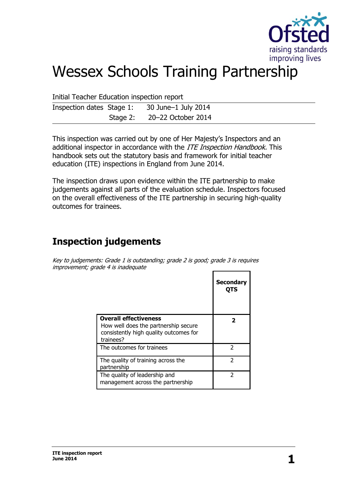

# Wessex Schools Training Partnership

Initial Teacher Education inspection report

| Inspection dates Stage 1: 30 June-1 July 2014 |                             |
|-----------------------------------------------|-----------------------------|
|                                               | Stage 2: 20-22 October 2014 |

This inspection was carried out by one of Her Majesty's Inspectors and an additional inspector in accordance with the ITE Inspection Handbook. This handbook sets out the statutory basis and framework for initial teacher education (ITE) inspections in England from June 2014.

The inspection draws upon evidence within the ITE partnership to make judgements against all parts of the evaluation schedule. Inspectors focused on the overall effectiveness of the ITE partnership in securing high-quality outcomes for trainees.

# **Inspection judgements**

Key to judgements: Grade 1 is outstanding; grade 2 is good; grade 3 is requires improvement; grade 4 is inadequate r

|                                                                                                                             | <b>Secondary</b><br>OTS |
|-----------------------------------------------------------------------------------------------------------------------------|-------------------------|
| <b>Overall effectiveness</b><br>How well does the partnership secure<br>consistently high quality outcomes for<br>trainees? |                         |
| The outcomes for trainees                                                                                                   | っ                       |
| The quality of training across the<br>partnership                                                                           | 2                       |
| The quality of leadership and<br>management across the partnership                                                          | っ                       |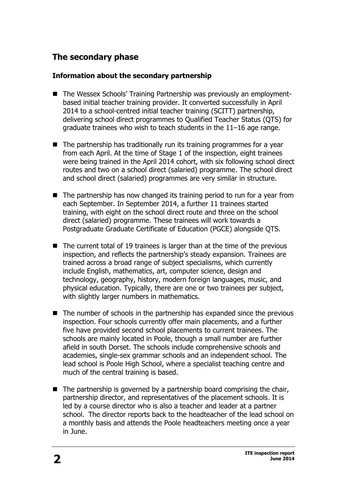# **The secondary phase**

### **Information about the secondary partnership**

- The Wessex Schools' Training Partnership was previously an employmentbased initial teacher training provider. It converted successfully in April 2014 to a school-centred initial teacher training (SCITT) partnership, delivering school direct programmes to Qualified Teacher Status (QTS) for graduate trainees who wish to teach students in the 11–16 age range.
- $\blacksquare$  The partnership has traditionally run its training programmes for a year from each April. At the time of Stage 1 of the inspection, eight trainees were being trained in the April 2014 cohort, with six following school direct routes and two on a school direct (salaried) programme. The school direct and school direct (salaried) programmes are very similar in structure.
- $\blacksquare$  The partnership has now changed its training period to run for a year from each September. In September 2014, a further 11 trainees started training, with eight on the school direct route and three on the school direct (salaried) programme. These trainees will work towards a Postgraduate Graduate Certificate of Education (PGCE) alongside QTS.
- The current total of 19 trainees is larger than at the time of the previous inspection, and reflects the partnership's steady expansion. Trainees are trained across a broad range of subject specialisms, which currently include English, mathematics, art, computer science, design and technology, geography, history, modern foreign languages, music, and physical education. Typically, there are one or two trainees per subject, with slightly larger numbers in mathematics.
- $\blacksquare$  The number of schools in the partnership has expanded since the previous inspection. Four schools currently offer main placements, and a further five have provided second school placements to current trainees. The schools are mainly located in Poole, though a small number are further afield in south Dorset. The schools include comprehensive schools and academies, single-sex grammar schools and an independent school. The lead school is Poole High School, where a specialist teaching centre and much of the central training is based.
- $\blacksquare$  The partnership is governed by a partnership board comprising the chair, partnership director, and representatives of the placement schools. It is led by a course director who is also a teacher and leader at a partner school. The director reports back to the headteacher of the lead school on a monthly basis and attends the Poole headteachers meeting once a year in June.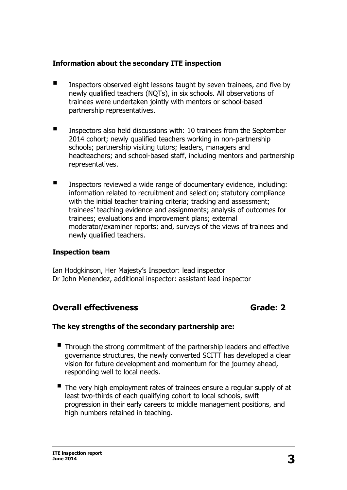### **Information about the secondary ITE inspection**

- Inspectors observed eight lessons taught by seven trainees, and five by newly qualified teachers (NQTs), in six schools. All observations of trainees were undertaken jointly with mentors or school-based partnership representatives.
- Inspectors also held discussions with: 10 trainees from the September 2014 cohort; newly qualified teachers working in non-partnership schools; partnership visiting tutors; leaders, managers and headteachers; and school-based staff, including mentors and partnership representatives.
- **IFM** Inspectors reviewed a wide range of documentary evidence, including: information related to recruitment and selection; statutory compliance with the initial teacher training criteria; tracking and assessment; trainees' teaching evidence and assignments; analysis of outcomes for trainees; evaluations and improvement plans; external moderator/examiner reports; and, surveys of the views of trainees and newly qualified teachers.

### **Inspection team**

Ian Hodgkinson, Her Majesty's Inspector: lead inspector Dr John Menendez, additional inspector: assistant lead inspector

# **Overall effectiveness** Grade: 2

### **The key strengths of the secondary partnership are:**

- Through the strong commitment of the partnership leaders and effective governance structures, the newly converted SCITT has developed a clear vision for future development and momentum for the journey ahead, responding well to local needs.
- $\blacksquare$  The very high employment rates of trainees ensure a regular supply of at least two-thirds of each qualifying cohort to local schools, swift progression in their early careers to middle management positions, and high numbers retained in teaching.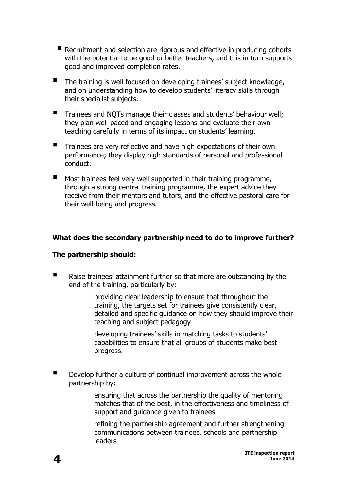- Recruitment and selection are rigorous and effective in producing cohorts with the potential to be good or better teachers, and this in turn supports good and improved completion rates.
- The training is well focused on developing trainees' subject knowledge, and on understanding how to develop students' literacy skills through their specialist subjects.
- <sup>T</sup>rainees and NQTs manage their classes and students' behaviour well; they plan well-paced and engaging lessons and evaluate their own teaching carefully in terms of its impact on students' learning.
- Trainees are very reflective and have high expectations of their own performance; they display high standards of personal and professional conduct.
- $\blacksquare$  Most trainees feel very well supported in their training programme, through a strong central training programme, the expert advice they receive from their mentors and tutors, and the effective pastoral care for their well-being and progress.

### **What does the secondary partnership need to do to improve further?**

### **The partnership should:**

- Raise trainees' attainment further so that more are outstanding by the end of the training, particularly by:
	- $-$  providing clear leadership to ensure that throughout the training, the targets set for trainees give consistently clear, detailed and specific guidance on how they should improve their teaching and subject pedagogy
	- developing trainees' skills in matching tasks to students' capabilities to ensure that all groups of students make best progress.
- Develop further a culture of continual improvement across the whole partnership by:
	- $-$  ensuring that across the partnership the quality of mentoring matches that of the best, in the effectiveness and timeliness of support and guidance given to trainees
	- $-$  refining the partnership agreement and further strengthening communications between trainees, schools and partnership leaders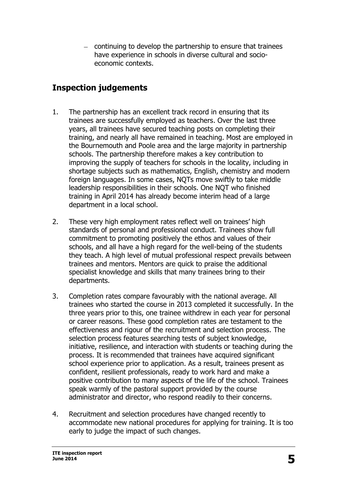- continuing to develop the partnership to ensure that trainees have experience in schools in diverse cultural and socioeconomic contexts.

# **Inspection judgements**

- 1. The partnership has an excellent track record in ensuring that its trainees are successfully employed as teachers. Over the last three years, all trainees have secured teaching posts on completing their training, and nearly all have remained in teaching. Most are employed in the Bournemouth and Poole area and the large majority in partnership schools. The partnership therefore makes a key contribution to improving the supply of teachers for schools in the locality, including in shortage subjects such as mathematics, English, chemistry and modern foreign languages. In some cases, NQTs move swiftly to take middle leadership responsibilities in their schools. One NQT who finished training in April 2014 has already become interim head of a large department in a local school.
- 2. These very high employment rates reflect well on trainees' high standards of personal and professional conduct. Trainees show full commitment to promoting positively the ethos and values of their schools, and all have a high regard for the well-being of the students they teach. A high level of mutual professional respect prevails between trainees and mentors. Mentors are quick to praise the additional specialist knowledge and skills that many trainees bring to their departments.
- 3. Completion rates compare favourably with the national average. All trainees who started the course in 2013 completed it successfully. In the three years prior to this, one trainee withdrew in each year for personal or career reasons. These good completion rates are testament to the effectiveness and rigour of the recruitment and selection process. The selection process features searching tests of subject knowledge, initiative, resilience, and interaction with students or teaching during the process. It is recommended that trainees have acquired significant school experience prior to application. As a result, trainees present as confident, resilient professionals, ready to work hard and make a positive contribution to many aspects of the life of the school. Trainees speak warmly of the pastoral support provided by the course administrator and director, who respond readily to their concerns.
- 4. Recruitment and selection procedures have changed recently to accommodate new national procedures for applying for training. It is too early to judge the impact of such changes.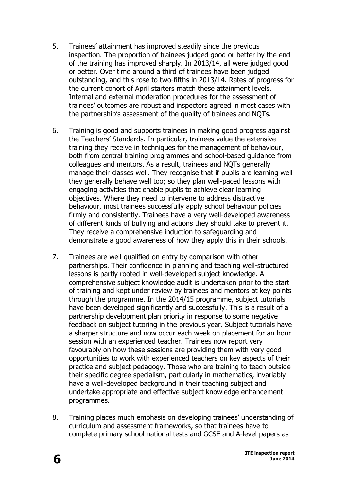- 5. Trainees' attainment has improved steadily since the previous inspection. The proportion of trainees judged good or better by the end of the training has improved sharply. In 2013/14, all were judged good or better. Over time around a third of trainees have been judged outstanding, and this rose to two-fifths in 2013/14. Rates of progress for the current cohort of April starters match these attainment levels. Internal and external moderation procedures for the assessment of trainees' outcomes are robust and inspectors agreed in most cases with the partnership's assessment of the quality of trainees and NQTs.
- 6. Training is good and supports trainees in making good progress against the Teachers' Standards. In particular, trainees value the extensive training they receive in techniques for the management of behaviour, both from central training programmes and school-based guidance from colleagues and mentors. As a result, trainees and NQTs generally manage their classes well. They recognise that if pupils are learning well they generally behave well too; so they plan well-paced lessons with engaging activities that enable pupils to achieve clear learning objectives. Where they need to intervene to address distractive behaviour, most trainees successfully apply school behaviour policies firmly and consistently. Trainees have a very well-developed awareness of different kinds of bullying and actions they should take to prevent it. They receive a comprehensive induction to safeguarding and demonstrate a good awareness of how they apply this in their schools.
- 7. Trainees are well qualified on entry by comparison with other partnerships. Their confidence in planning and teaching well-structured lessons is partly rooted in well-developed subject knowledge. A comprehensive subject knowledge audit is undertaken prior to the start of training and kept under review by trainees and mentors at key points through the programme. In the 2014/15 programme, subject tutorials have been developed significantly and successfully. This is a result of a partnership development plan priority in response to some negative feedback on subject tutoring in the previous year. Subject tutorials have a sharper structure and now occur each week on placement for an hour session with an experienced teacher. Trainees now report very favourably on how these sessions are providing them with very good opportunities to work with experienced teachers on key aspects of their practice and subject pedagogy. Those who are training to teach outside their specific degree specialism, particularly in mathematics, invariably have a well-developed background in their teaching subject and undertake appropriate and effective subject knowledge enhancement programmes.
- 8. Training places much emphasis on developing trainees' understanding of curriculum and assessment frameworks, so that trainees have to complete primary school national tests and GCSE and A-level papers as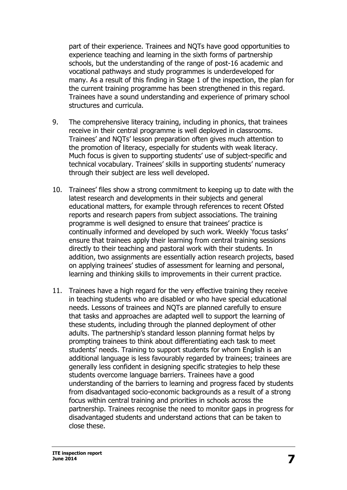part of their experience. Trainees and NQTs have good opportunities to experience teaching and learning in the sixth forms of partnership schools, but the understanding of the range of post-16 academic and vocational pathways and study programmes is underdeveloped for many. As a result of this finding in Stage 1 of the inspection, the plan for the current training programme has been strengthened in this regard. Trainees have a sound understanding and experience of primary school structures and curricula.

- 9. The comprehensive literacy training, including in phonics, that trainees receive in their central programme is well deployed in classrooms. Trainees' and NQTs' lesson preparation often gives much attention to the promotion of literacy, especially for students with weak literacy. Much focus is given to supporting students' use of subject-specific and technical vocabulary. Trainees' skills in supporting students' numeracy through their subject are less well developed.
- 10. Trainees' files show a strong commitment to keeping up to date with the latest research and developments in their subjects and general educational matters, for example through references to recent Ofsted reports and research papers from subject associations. The training programme is well designed to ensure that trainees' practice is continually informed and developed by such work. Weekly 'focus tasks' ensure that trainees apply their learning from central training sessions directly to their teaching and pastoral work with their students. In addition, two assignments are essentially action research projects, based on applying trainees' studies of assessment for learning and personal, learning and thinking skills to improvements in their current practice.
- 11. Trainees have a high regard for the very effective training they receive in teaching students who are disabled or who have special educational needs. Lessons of trainees and NQTs are planned carefully to ensure that tasks and approaches are adapted well to support the learning of these students, including through the planned deployment of other adults. The partnership's standard lesson planning format helps by prompting trainees to think about differentiating each task to meet students' needs. Training to support students for whom English is an additional language is less favourably regarded by trainees; trainees are generally less confident in designing specific strategies to help these students overcome language barriers. Trainees have a good understanding of the barriers to learning and progress faced by students from disadvantaged socio-economic backgrounds as a result of a strong focus within central training and priorities in schools across the partnership. Trainees recognise the need to monitor gaps in progress for disadvantaged students and understand actions that can be taken to close these.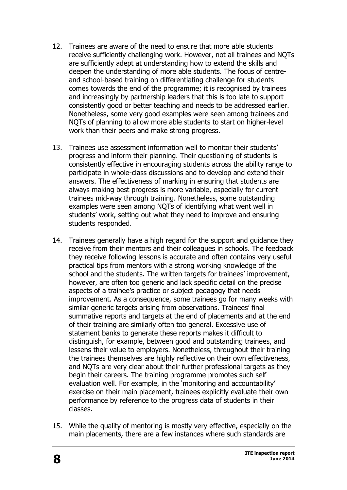- 12. Trainees are aware of the need to ensure that more able students receive sufficiently challenging work. However, not all trainees and NQTs are sufficiently adept at understanding how to extend the skills and deepen the understanding of more able students. The focus of centreand school-based training on differentiating challenge for students comes towards the end of the programme; it is recognised by trainees and increasingly by partnership leaders that this is too late to support consistently good or better teaching and needs to be addressed earlier. Nonetheless, some very good examples were seen among trainees and NQTs of planning to allow more able students to start on higher-level work than their peers and make strong progress.
- 13. Trainees use assessment information well to monitor their students' progress and inform their planning. Their questioning of students is consistently effective in encouraging students across the ability range to participate in whole-class discussions and to develop and extend their answers. The effectiveness of marking in ensuring that students are always making best progress is more variable, especially for current trainees mid-way through training. Nonetheless, some outstanding examples were seen among NQTs of identifying what went well in students' work, setting out what they need to improve and ensuring students responded.
- 14. Trainees generally have a high regard for the support and guidance they receive from their mentors and their colleagues in schools. The feedback they receive following lessons is accurate and often contains very useful practical tips from mentors with a strong working knowledge of the school and the students. The written targets for trainees' improvement, however, are often too generic and lack specific detail on the precise aspects of a trainee's practice or subject pedagogy that needs improvement. As a consequence, some trainees go for many weeks with similar generic targets arising from observations. Trainees' final summative reports and targets at the end of placements and at the end of their training are similarly often too general. Excessive use of statement banks to generate these reports makes it difficult to distinguish, for example, between good and outstanding trainees, and lessens their value to employers. Nonetheless, throughout their training the trainees themselves are highly reflective on their own effectiveness, and NQTs are very clear about their further professional targets as they begin their careers. The training programme promotes such self evaluation well. For example, in the 'monitoring and accountability' exercise on their main placement, trainees explicitly evaluate their own performance by reference to the progress data of students in their classes.
- 15. While the quality of mentoring is mostly very effective, especially on the main placements, there are a few instances where such standards are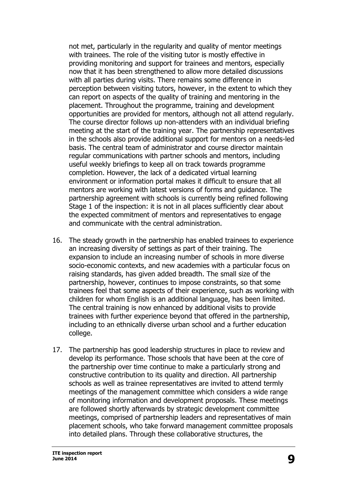not met, particularly in the regularity and quality of mentor meetings with trainees. The role of the visiting tutor is mostly effective in providing monitoring and support for trainees and mentors, especially now that it has been strengthened to allow more detailed discussions with all parties during visits. There remains some difference in perception between visiting tutors, however, in the extent to which they can report on aspects of the quality of training and mentoring in the placement. Throughout the programme, training and development opportunities are provided for mentors, although not all attend regularly. The course director follows up non-attenders with an individual briefing meeting at the start of the training year. The partnership representatives in the schools also provide additional support for mentors on a needs-led basis. The central team of administrator and course director maintain regular communications with partner schools and mentors, including useful weekly briefings to keep all on track towards programme completion. However, the lack of a dedicated virtual learning environment or information portal makes it difficult to ensure that all mentors are working with latest versions of forms and guidance. The partnership agreement with schools is currently being refined following Stage 1 of the inspection: it is not in all places sufficiently clear about the expected commitment of mentors and representatives to engage and communicate with the central administration.

- 16. The steady growth in the partnership has enabled trainees to experience an increasing diversity of settings as part of their training. The expansion to include an increasing number of schools in more diverse socio-economic contexts, and new academies with a particular focus on raising standards, has given added breadth. The small size of the partnership, however, continues to impose constraints, so that some trainees feel that some aspects of their experience, such as working with children for whom English is an additional language, has been limited. The central training is now enhanced by additional visits to provide trainees with further experience beyond that offered in the partnership, including to an ethnically diverse urban school and a further education college.
- 17. The partnership has good leadership structures in place to review and develop its performance. Those schools that have been at the core of the partnership over time continue to make a particularly strong and constructive contribution to its quality and direction. All partnership schools as well as trainee representatives are invited to attend termly meetings of the management committee which considers a wide range of monitoring information and development proposals. These meetings are followed shortly afterwards by strategic development committee meetings, comprised of partnership leaders and representatives of main placement schools, who take forward management committee proposals into detailed plans. Through these collaborative structures, the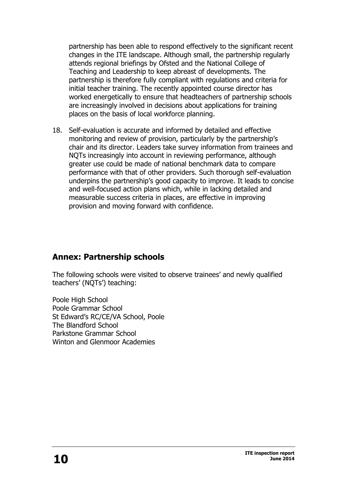partnership has been able to respond effectively to the significant recent changes in the ITE landscape. Although small, the partnership regularly attends regional briefings by Ofsted and the National College of Teaching and Leadership to keep abreast of developments. The partnership is therefore fully compliant with regulations and criteria for initial teacher training. The recently appointed course director has worked energetically to ensure that headteachers of partnership schools are increasingly involved in decisions about applications for training places on the basis of local workforce planning.

18. Self-evaluation is accurate and informed by detailed and effective monitoring and review of provision, particularly by the partnership's chair and its director. Leaders take survey information from trainees and NQTs increasingly into account in reviewing performance, although greater use could be made of national benchmark data to compare performance with that of other providers. Such thorough self-evaluation underpins the partnership's good capacity to improve. It leads to concise and well-focused action plans which, while in lacking detailed and measurable success criteria in places, are effective in improving provision and moving forward with confidence.

# **Annex: Partnership schools**

The following schools were visited to observe trainees' and newly qualified teachers' (NQTs') teaching:

Poole High School Poole Grammar School St Edward's RC/CE/VA School, Poole The Blandford School Parkstone Grammar School Winton and Glenmoor Academies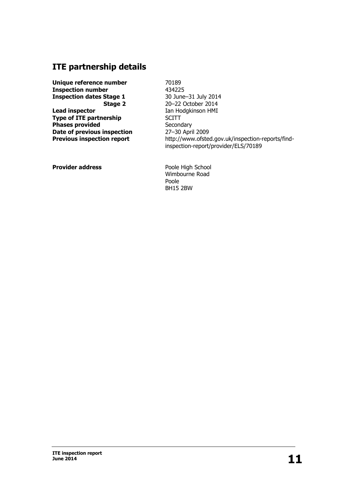# **ITE partnership details**

**Unique reference number Inspection number Inspection dates Stage 1 Stage 2 Lead inspector Type of ITE partnership Phases provided Date of previous inspection Previous inspection report**

70189 434225 30 June–31 July 2014 20–22 October 2014 Ian Hodgkinson HMI **SCITT Secondary** 27–30 April 2009 http://www.ofsted.gov.uk/inspection-reports/findinspection-report/provider/ELS/70189

**Provider address**

Poole High School Wimbourne Road Poole BH15 2BW